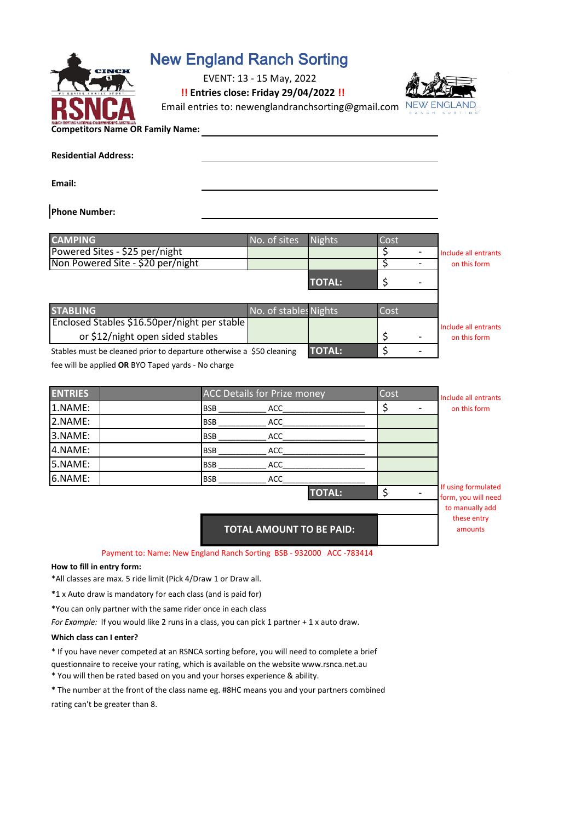

# New England Ranch Sorting

EVENT: 13 - 15 May, 2022

**!! Entries close: Friday 29/04/2022 !!**

Email entries to: newenglandranchsorting@gmail.com NEW ENGL



#### **Competitors Name OR Family Name:**

| <b>Residential Address:</b> |  |
|-----------------------------|--|
| Email:                      |  |

**Phone Number:** 

| <b>CAMPING</b>                                                       | No. of sites          | Nights        | Cost |                                      |
|----------------------------------------------------------------------|-----------------------|---------------|------|--------------------------------------|
| Powered Sites - \$25 per/night                                       |                       |               |      | Include all entrants                 |
| Non Powered Site - \$20 per/night                                    |                       |               |      | on this form                         |
|                                                                      |                       | <b>TOTAL:</b> |      |                                      |
|                                                                      |                       |               |      |                                      |
|                                                                      |                       |               |      |                                      |
|                                                                      | No. of stables Nights |               | Cost |                                      |
| <b>STABLING</b><br>Enclosed Stables \$16.50per/night per stable      |                       |               |      |                                      |
| or \$12/night open sided stables                                     |                       |               |      | Include all entrants<br>on this form |
| Stables must be cleaned prior to departure otherwise a \$50 cleaning |                       | <b>TOTAL:</b> |      |                                      |

| <b>ENTRIES</b> | <b>ACC Details for Prize money</b> | Cost | Include all entrants                       |
|----------------|------------------------------------|------|--------------------------------------------|
| 1.NAME:        | <b>BSB</b><br>ACC                  |      | on this form                               |
| 2.NAME:        | <b>BSB</b><br>ACC                  |      |                                            |
| 3.NAME:        | <b>BSB</b><br><b>ACC</b>           |      |                                            |
| 4.NAME:        | <b>BSB</b><br><b>ACC</b>           |      |                                            |
| 5.NAME:        | <b>BSB</b><br>ACC                  |      |                                            |
| 6.NAME:        | <b>ACC</b><br><b>BSB</b>           |      |                                            |
|                | <b>TOTAL:</b>                      |      | If using formulated<br>form, you will need |
|                |                                    |      | to manually add                            |
|                | <b>TOTAL AMOUNT TO BE PAID:</b>    |      | these entry<br>amounts                     |

Payment to: Name: New England Ranch Sorting BSB - 932000 ACC -783414

#### **How to fill in entry form:**

\*All classes are max. 5 ride limit (Pick 4/Draw 1 or Draw all.

\*1 x Auto draw is mandatory for each class (and is paid for)

\*You can only partner with the same rider once in each class

*For Example:* If you would like 2 runs in a class, you can pick 1 partner + 1 x auto draw.

#### **Which class can I enter?**

\* If you have never competed at an RSNCA sorting before, you will need to complete a brief

questionnaire to receive your rating, which is available on the website www.rsnca.net.au

\* You will then be rated based on you and your horses experience & ability.

\* The number at the front of the class name eg. #8HC means you and your partners combined rating can't be greater than 8.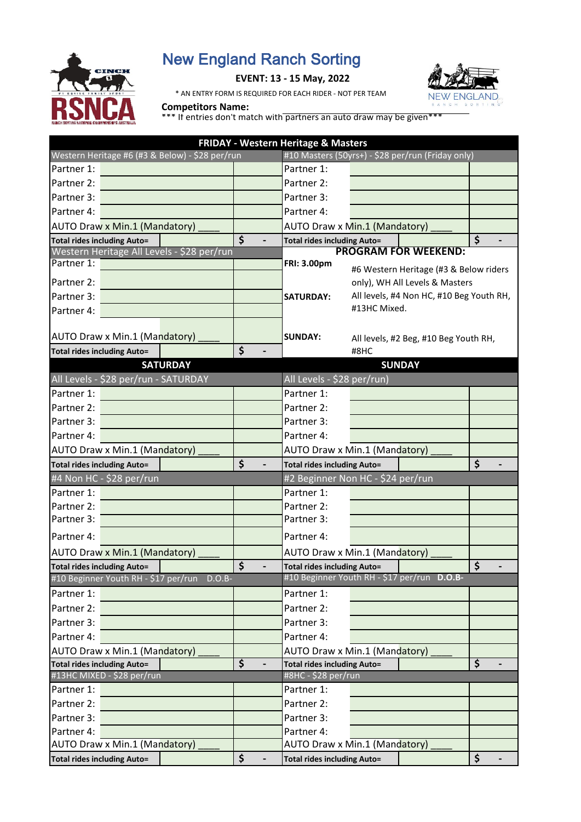

# New England Ranch Sorting

# **EVENT: 13 - 15 May, 2022**

\* AN ENTRY FORM IS REQUIRED FOR EACH RIDER - NOT PER TEAM



# **Competitors Name:**

\*\*\* If entries don't match with partners an auto draw may be given\*\*\*

| FRIDAY - Western Heritage & Masters             |                 |                         |                                    |              |                                                   |                                 |
|-------------------------------------------------|-----------------|-------------------------|------------------------------------|--------------|---------------------------------------------------|---------------------------------|
| Western Heritage #6 (#3 & Below) - \$28 per/run |                 |                         |                                    |              | #10 Masters (50yrs+) - \$28 per/run (Friday only) |                                 |
| Partner 1:                                      |                 |                         | Partner 1:                         |              |                                                   |                                 |
| Partner 2:                                      |                 |                         | Partner 2:                         |              |                                                   |                                 |
| Partner 3:                                      |                 |                         | Partner 3:                         |              |                                                   |                                 |
| Partner 4:                                      |                 |                         | Partner 4:                         |              |                                                   |                                 |
| <b>AUTO Draw x Min.1 (Mandatory)</b>            |                 |                         | AUTO Draw x Min.1 (Mandatory)      |              |                                                   |                                 |
| <b>Total rides including Auto=</b>              |                 | \$                      | <b>Total rides including Auto=</b> |              |                                                   | \$                              |
| Western Heritage All Levels - \$28 per/run      |                 |                         |                                    |              | <b>PROGRAM FOR WEEKEND:</b>                       |                                 |
| Partner 1:                                      |                 |                         | <b>FRI: 3.00pm</b>                 |              | #6 Western Heritage (#3 & Below riders            |                                 |
| Partner 2:                                      |                 |                         |                                    |              | only), WH All Levels & Masters                    |                                 |
| Partner 3:                                      |                 |                         | <b>SATURDAY:</b>                   |              | All levels, #4 Non HC, #10 Beg Youth RH,          |                                 |
| Partner 4:                                      |                 |                         |                                    | #13HC Mixed. |                                                   |                                 |
|                                                 |                 |                         |                                    |              |                                                   |                                 |
| AUTO Draw x Min.1 (Mandatory)                   |                 |                         | <b>SUNDAY:</b>                     |              | All levels, #2 Beg, #10 Beg Youth RH,             |                                 |
| <b>Total rides including Auto=</b>              |                 | \$                      |                                    | #8HC         |                                                   |                                 |
|                                                 | <b>SATURDAY</b> |                         |                                    |              | <b>SUNDAY</b>                                     |                                 |
| All Levels - \$28 per/run - SATURDAY            |                 |                         | All Levels - \$28 per/run)         |              |                                                   |                                 |
| Partner 1:                                      |                 |                         | Partner 1:                         |              |                                                   |                                 |
| Partner 2:                                      |                 |                         | Partner 2:                         |              |                                                   |                                 |
| Partner 3:                                      |                 |                         | Partner 3:                         |              |                                                   |                                 |
| Partner 4:                                      |                 |                         | Partner 4:                         |              |                                                   |                                 |
| AUTO Draw x Min.1 (Mandatory)                   |                 |                         | AUTO Draw x Min.1 (Mandatory)      |              |                                                   |                                 |
| <b>Total rides including Auto=</b>              |                 | \$                      | <b>Total rides including Auto=</b> |              |                                                   | \$                              |
| #4 Non HC - \$28 per/run                        |                 |                         | #2 Beginner Non HC - \$24 per/run  |              |                                                   |                                 |
| Partner 1:                                      |                 |                         | Partner 1:                         |              |                                                   |                                 |
| Partner 2:                                      |                 |                         | Partner 2:                         |              |                                                   |                                 |
| Partner 3:                                      |                 |                         | Partner 3:                         |              |                                                   |                                 |
| Partner 4:                                      |                 |                         | Partner 4:                         |              |                                                   |                                 |
| <b>AUTO Draw x Min.1 (Mandatory)</b>            |                 |                         | AUTO Draw x Min.1 (Mandatory)      |              |                                                   |                                 |
| <b>Total rides including Auto=</b>              |                 | \$                      | <b>Total rides including Auto=</b> |              |                                                   | \$                              |
| #10 Beginner Youth RH - \$17 per/run            | $D.O.B-$        |                         |                                    |              | #10 Beginner Youth RH - \$17 per/run D.O.B-       |                                 |
| Partner 1:                                      |                 |                         | Partner 1:                         |              |                                                   |                                 |
| Partner 2:                                      |                 |                         | Partner 2:                         |              |                                                   |                                 |
| Partner 3:                                      |                 |                         | Partner 3:                         |              |                                                   |                                 |
| Partner 4:                                      |                 |                         | Partner 4:                         |              |                                                   |                                 |
| AUTO Draw x Min.1 (Mandatory)                   |                 |                         | AUTO Draw x Min.1 (Mandatory)      |              |                                                   |                                 |
| <b>Total rides including Auto=</b>              |                 | $\overline{\mathsf{s}}$ | <b>Total rides including Auto=</b> |              |                                                   | $\overline{\boldsymbol{\zeta}}$ |
| #13HC MIXED - \$28 per/run                      |                 |                         | #8HC - \$28 per/run                |              |                                                   |                                 |
| Partner 1:                                      |                 |                         | Partner 1:                         |              |                                                   |                                 |
| Partner 2:                                      |                 |                         | Partner 2:                         |              |                                                   |                                 |
| Partner 3:                                      |                 |                         | Partner 3:                         |              |                                                   |                                 |
| Partner 4:                                      |                 |                         | Partner 4:                         |              |                                                   |                                 |
| AUTO Draw x Min.1 (Mandatory)                   |                 |                         | AUTO Draw x Min.1 (Mandatory)      |              |                                                   |                                 |
| <b>Total rides including Auto=</b>              |                 | \$                      | <b>Total rides including Auto=</b> |              |                                                   | \$                              |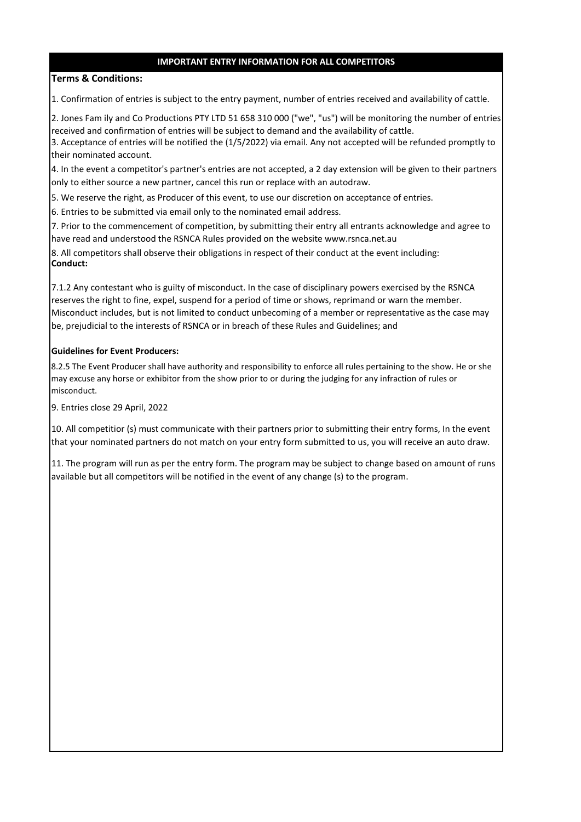# **IMPORTANT ENTRY INFORMATION FOR ALL COMPETITORS**

### **Terms & Conditions:**

1. Confirmation of entries is subject to the entry payment, number of entries received and availability of cattle.

2. Jones Fam ily and Co Productions PTY LTD 51 658 310 000 ("we", "us") will be monitoring the number of entries received and confirmation of entries will be subject to demand and the availability of cattle.

3. Acceptance of entries will be notified the (1/5/2022) via email. Any not accepted will be refunded promptly to their nominated account.

4. In the event a competitor's partner's entries are not accepted, a 2 day extension will be given to their partners only to either source a new partner, cancel this run or replace with an autodraw.

5. We reserve the right, as Producer of this event, to use our discretion on acceptance of entries.

6. Entries to be submitted via email only to the nominated email address.

7. Prior to the commencement of competition, by submitting their entry all entrants acknowledge and agree to have read and understood the RSNCA Rules provided on the website www.rsnca.net.au

8. All competitors shall observe their obligations in respect of their conduct at the event including: **Conduct:**

7.1.2 Any contestant who is guilty of misconduct. In the case of disciplinary powers exercised by the RSNCA reserves the right to fine, expel, suspend for a period of time or shows, reprimand or warn the member. Misconduct includes, but is not limited to conduct unbecoming of a member or representative as the case may be, prejudicial to the interests of RSNCA or in breach of these Rules and Guidelines; and

#### **Guidelines for Event Producers:**

8.2.5 The Event Producer shall have authority and responsibility to enforce all rules pertaining to the show. He or she may excuse any horse or exhibitor from the show prior to or during the judging for any infraction of rules or misconduct.

9. Entries close 29 April, 2022

10. All competitior (s) must communicate with their partners prior to submitting their entry forms, In the event that your nominated partners do not match on your entry form submitted to us, you will receive an auto draw.

11. The program will run as per the entry form. The program may be subject to change based on amount of runs available but all competitors will be notified in the event of any change (s) to the program.